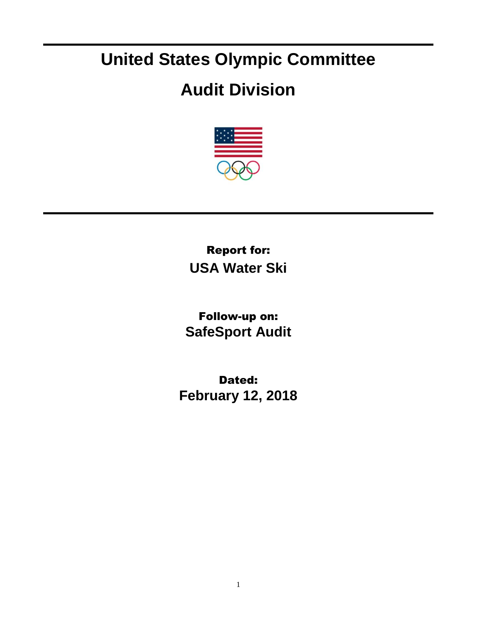## **United States Olympic Committee**

## **Audit Division**



Report for: **USA Water Ski**

Follow-up on: **SafeSport Audit**

Dated: **February 12, 2018**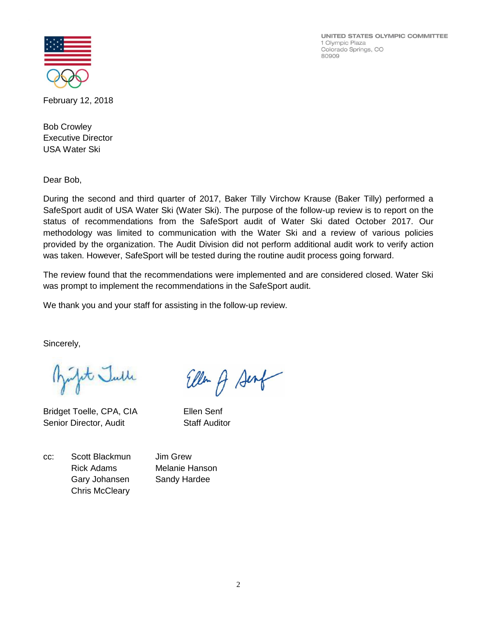UNITED STATES OLYMPIC COMMITTEE 1 Olympic Plaza Colorado Springs, CO 80909



February 12, 2018

Bob Crowley Executive Director USA Water Ski

Dear Bob,

During the second and third quarter of 2017, Baker Tilly Virchow Krause (Baker Tilly) performed a SafeSport audit of USA Water Ski (Water Ski). The purpose of the follow-up review is to report on the status of recommendations from the SafeSport audit of Water Ski dated October 2017. Our methodology was limited to communication with the Water Ski and a review of various policies provided by the organization. The Audit Division did not perform additional audit work to verify action was taken. However, SafeSport will be tested during the routine audit process going forward.

The review found that the recommendations were implemented and are considered closed. Water Ski was prompt to implement the recommendations in the SafeSport audit.

We thank you and your staff for assisting in the follow-up review.

Sincerely,

Julit Julle

Bridget Toelle, CPA, CIA Ellen Senf Senior Director, Audit Staff Auditor

Ellen of Senf

cc: Scott Blackmun Jim Grew Rick Adams Melanie Hanson Gary Johansen Sandy Hardee Chris McCleary